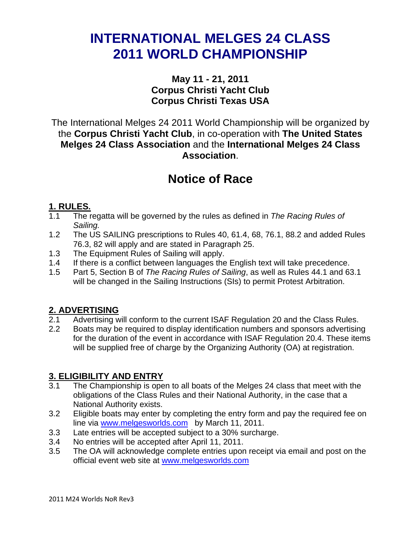# **INTERNATIONAL MELGES 24 CLASS 2011 WORLD CHAMPIONSHIP**

## **May 11 - 21, 2011 Corpus Christi Yacht Club Corpus Christi Texas USA**

The International Melges 24 2011 World Championship will be organized by the **Corpus Christi Yacht Club**, in co-operation with **The United States Melges 24 Class Association** and the **International Melges 24 Class Association**.

# **Notice of Race**

## **1. RULES.**

- 1.1 The regatta will be governed by the rules as defined in *The Racing Rules of Sailing.*
- 1.2 The US SAILING prescriptions to Rules 40, 61.4, 68, 76.1, 88.2 and added Rules 76.3, 82 will apply and are stated in Paragraph 25.
- 1.3 The Equipment Rules of Sailing will apply.
- 1.4 If there is a conflict between languages the English text will take precedence.
- 1.5 Part 5, Section B of *The Racing Rules of Sailing*, as well as Rules 44.1 and 63.1 will be changed in the Sailing Instructions (SIs) to permit Protest Arbitration.

## **2. ADVERTISING**

- 2.1 Advertising will conform to the current ISAF Regulation 20 and the Class Rules.
- 2.2 Boats may be required to display identification numbers and sponsors advertising for the duration of the event in accordance with ISAF Regulation 20.4. These items will be supplied free of charge by the Organizing Authority (OA) at registration.

## **3. ELIGIBILITY AND ENTRY**

- 3.1 The Championship is open to all boats of the Melges 24 class that meet with the obligations of the Class Rules and their National Authority, in the case that a National Authority exists.
- 3.2 Eligible boats may enter by completing the entry form and pay the required fee on line via www.melgesworlds.com by March 11, 2011.
- 3.3 Late entries will be accepted subject to a 30% surcharge.
- 3.4 No entries will be accepted after April 11, 2011.
- 3.5 The OA will acknowledge complete entries upon receipt via email and post on the official event web site at www.melgesworlds.com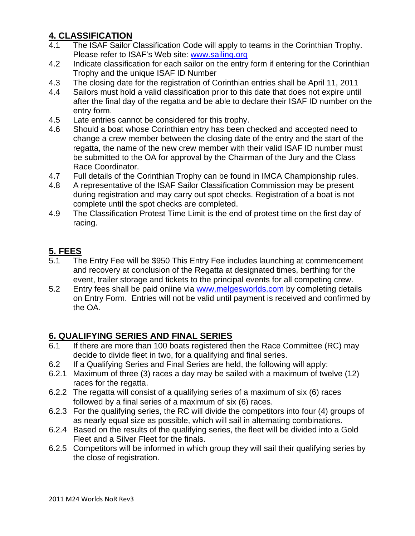## **4. CLASSIFICATION**

- 4.1 The ISAF Sailor Classification Code will apply to teams in the Corinthian Trophy. Please refer to ISAF's Web site: www.sailing.org
- 4.2 Indicate classification for each sailor on the entry form if entering for the Corinthian Trophy and the unique ISAF ID Number
- 4.3 The closing date for the registration of Corinthian entries shall be April 11, 2011
- 4.4 Sailors must hold a valid classification prior to this date that does not expire until after the final day of the regatta and be able to declare their ISAF ID number on the entry form.
- 4.5 Late entries cannot be considered for this trophy.
- 4.6 Should a boat whose Corinthian entry has been checked and accepted need to change a crew member between the closing date of the entry and the start of the regatta, the name of the new crew member with their valid ISAF ID number must be submitted to the OA for approval by the Chairman of the Jury and the Class Race Coordinator.
- 4.7 Full details of the Corinthian Trophy can be found in IMCA Championship rules.
- 4.8 A representative of the ISAF Sailor Classification Commission may be present during registration and may carry out spot checks. Registration of a boat is not complete until the spot checks are completed.
- 4.9 The Classification Protest Time Limit is the end of protest time on the first day of racing.

## **5. FEES**

- 5.1 The Entry Fee will be \$950 This Entry Fee includes launching at commencement and recovery at conclusion of the Regatta at designated times, berthing for the event, trailer storage and tickets to the principal events for all competing crew.
- 5.2 Entry fees shall be paid online via www.melgesworlds.com by completing details on Entry Form. Entries will not be valid until payment is received and confirmed by the OA.

## **6. QUALIFYING SERIES AND FINAL SERIES**

- 6.1 If there are more than 100 boats registered then the Race Committee (RC) may decide to divide fleet in two, for a qualifying and final series.
- 6.2 If a Qualifying Series and Final Series are held, the following will apply:
- 6.2.1 Maximum of three (3) races a day may be sailed with a maximum of twelve (12) races for the regatta.
- 6.2.2 The regatta will consist of a qualifying series of a maximum of six (6) races followed by a final series of a maximum of six (6) races.
- 6.2.3 For the qualifying series, the RC will divide the competitors into four (4) groups of as nearly equal size as possible, which will sail in alternating combinations.
- 6.2.4 Based on the results of the qualifying series, the fleet will be divided into a Gold Fleet and a Silver Fleet for the finals.
- 6.2.5 Competitors will be informed in which group they will sail their qualifying series by the close of registration.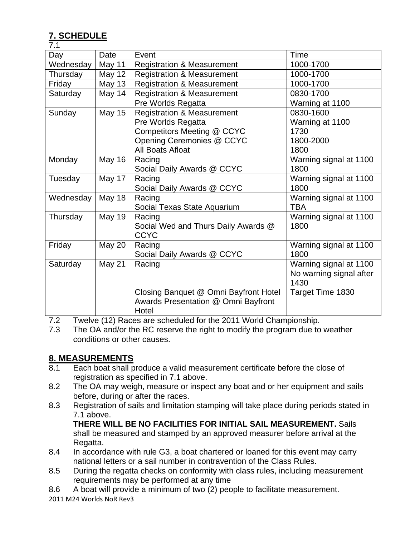# **7. SCHEDULE**

| 7.1                           |                                                        |                                       |                         |  |
|-------------------------------|--------------------------------------------------------|---------------------------------------|-------------------------|--|
| Day                           | Date                                                   | Event                                 | Time                    |  |
| Wednesday                     | May 11                                                 | <b>Registration &amp; Measurement</b> | 1000-1700               |  |
| Thursday                      | May 12                                                 | <b>Registration &amp; Measurement</b> | 1000-1700               |  |
| Friday                        | <b>May 13</b>                                          | <b>Registration &amp; Measurement</b> | 1000-1700               |  |
| Saturday                      | May 14                                                 | <b>Registration &amp; Measurement</b> | 0830-1700               |  |
|                               | Pre Worlds Regatta                                     |                                       | Warning at 1100         |  |
| Sunday                        | <b>May 15</b><br><b>Registration &amp; Measurement</b> |                                       | 0830-1600               |  |
|                               |                                                        | Pre Worlds Regatta                    | Warning at 1100         |  |
|                               |                                                        | Competitors Meeting @ CCYC            | 1730                    |  |
|                               |                                                        | Opening Ceremonies @ CCYC             | 1800-2000               |  |
|                               |                                                        | All Boats Afloat                      | 1800                    |  |
| Monday                        | May 16                                                 | Racing                                | Warning signal at 1100  |  |
|                               |                                                        | Social Daily Awards @ CCYC            | 1800                    |  |
| May 17<br>Tuesday             |                                                        | Racing                                | Warning signal at 1100  |  |
|                               |                                                        | Social Daily Awards @ CCYC            | 1800                    |  |
| May 18<br>Racing<br>Wednesday |                                                        |                                       | Warning signal at 1100  |  |
|                               |                                                        | Social Texas State Aquarium           | <b>TBA</b>              |  |
| Thursday                      | <b>May 19</b>                                          | Racing                                | Warning signal at 1100  |  |
|                               |                                                        | Social Wed and Thurs Daily Awards @   | 1800                    |  |
|                               |                                                        | <b>CCYC</b>                           |                         |  |
| Friday                        | <b>May 20</b>                                          | Racing                                | Warning signal at 1100  |  |
|                               |                                                        | Social Daily Awards @ CCYC            | 1800                    |  |
| Saturday                      | <b>May 21</b>                                          | Racing                                | Warning signal at 1100  |  |
|                               |                                                        |                                       | No warning signal after |  |
|                               |                                                        |                                       | 1430                    |  |
|                               |                                                        | Closing Banquet @ Omni Bayfront Hotel | Target Time 1830        |  |
|                               |                                                        | Awards Presentation @ Omni Bayfront   |                         |  |
|                               |                                                        | Hotel                                 |                         |  |

7.2 Twelve (12) Races are scheduled for the 2011 World Championship.

7.3 The OA and/or the RC reserve the right to modify the program due to weather conditions or other causes.

## **8. MEASUREMENTS**

- 8.1 Each boat shall produce a valid measurement certificate before the close of registration as specified in 7.1 above.
- 8.2 The OA may weigh, measure or inspect any boat and or her equipment and sails before, during or after the races.
- 8.3 Registration of sails and limitation stamping will take place during periods stated in 7.1 above.

**THERE WILL BE NO FACILITIES FOR INITIAL SAIL MEASUREMENT.** Sails shall be measured and stamped by an approved measurer before arrival at the Regatta.

- 8.4 In accordance with rule G3, a boat chartered or loaned for this event may carry national letters or a sail number in contravention of the Class Rules.
- 8.5 During the regatta checks on conformity with class rules, including measurement requirements may be performed at any time
- 8.6 A boat will provide a minimum of two (2) people to facilitate measurement.
- 2011 M24 Worlds NoR Rev3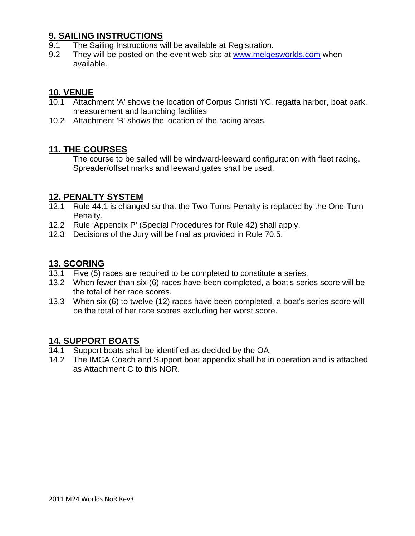### **9. SAILING INSTRUCTIONS**

- 9.1 The Sailing Instructions will be available at Registration.
- 9.2 They will be posted on the event web site at www.melgesworlds.com when available.

## **10. VENUE**

- 10.1 Attachment 'A' shows the location of Corpus Christi YC, regatta harbor, boat park, measurement and launching facilities
- 10.2 Attachment 'B' shows the location of the racing areas.

#### **11. THE COURSES**

The course to be sailed will be windward-leeward configuration with fleet racing. Spreader/offset marks and leeward gates shall be used.

#### **12. PENALTY SYSTEM**

- 12.1 Rule 44.1 is changed so that the Two-Turns Penalty is replaced by the One-Turn Penalty.
- 12.2 Rule 'Appendix P' (Special Procedures for Rule 42) shall apply.
- 12.3 Decisions of the Jury will be final as provided in Rule 70.5.

### **13. SCORING**

- 13.1 Five (5) races are required to be completed to constitute a series.
- 13.2 When fewer than six (6) races have been completed, a boat's series score will be the total of her race scores.
- 13.3 When six (6) to twelve (12) races have been completed, a boat's series score will be the total of her race scores excluding her worst score.

#### **14. SUPPORT BOATS**

- 14.1 Support boats shall be identified as decided by the OA.
- 14.2 The IMCA Coach and Support boat appendix shall be in operation and is attached as Attachment C to this NOR.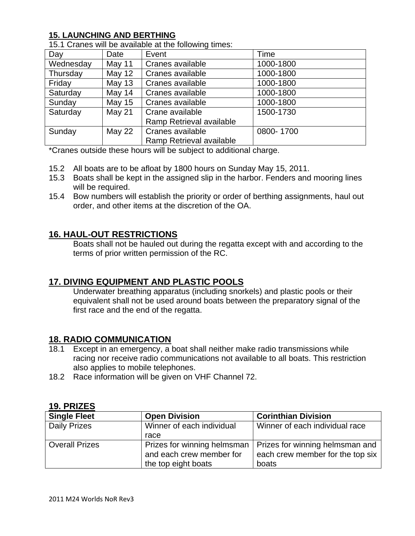#### **15. LAUNCHING AND BERTHING**

| Day       | Date          | Event                    | Time      |  |
|-----------|---------------|--------------------------|-----------|--|
| Wednesday | May 11        | Cranes available         | 1000-1800 |  |
| Thursday  | May 12        | Cranes available         | 1000-1800 |  |
| Friday    | <b>May 13</b> | Cranes available         | 1000-1800 |  |
| Saturday  | May 14        | Cranes available         | 1000-1800 |  |
| Sunday    | <b>May 15</b> | Cranes available         | 1000-1800 |  |
| Saturday  | May 21        | Crane available          | 1500-1730 |  |
|           |               | Ramp Retrieval available |           |  |
| Sunday    | <b>May 22</b> | Cranes available         | 0800-1700 |  |
|           |               | Ramp Retrieval available |           |  |

15.1 Cranes will be available at the following times:

\*Cranes outside these hours will be subject to additional charge.

- 15.2 All boats are to be afloat by 1800 hours on Sunday May 15, 2011.
- 15.3 Boats shall be kept in the assigned slip in the harbor. Fenders and mooring lines will be required.
- 15.4 Bow numbers will establish the priority or order of berthing assignments, haul out order, and other items at the discretion of the OA.

#### **16. HAUL-OUT RESTRICTIONS**

Boats shall not be hauled out during the regatta except with and according to the terms of prior written permission of the RC.

#### **17. DIVING EQUIPMENT AND PLASTIC POOLS**

Underwater breathing apparatus (including snorkels) and plastic pools or their equivalent shall not be used around boats between the preparatory signal of the first race and the end of the regatta.

#### **18. RADIO COMMUNICATION**

- 18.1 Except in an emergency, a boat shall neither make radio transmissions while racing nor receive radio communications not available to all boats. This restriction also applies to mobile telephones.
- 18.2 Race information will be given on VHF Channel 72.

#### **19. PRIZES**

| <b>Single Fleet</b>   | <b>Open Division</b>      | <b>Corinthian Division</b>                                    |  |
|-----------------------|---------------------------|---------------------------------------------------------------|--|
| <b>Daily Prizes</b>   | Winner of each individual | Winner of each individual race                                |  |
|                       | race                      |                                                               |  |
| <b>Overall Prizes</b> |                           | Prizes for winning helmsman   Prizes for winning helmsman and |  |
|                       | and each crew member for  | each crew member for the top six                              |  |
|                       | the top eight boats       | boats                                                         |  |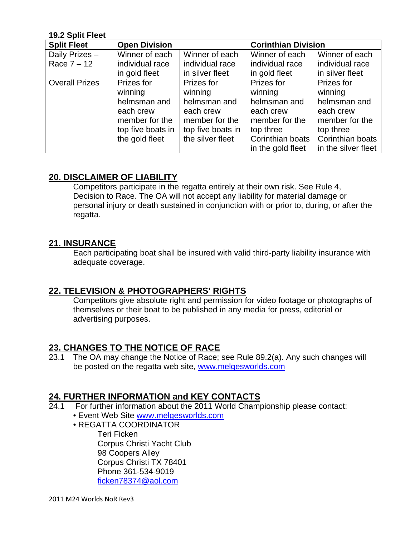#### **19.2 Split Fleet**

| <b>Split Fleet</b>    | <b>Open Division</b> |                   | <b>Corinthian Division</b> |                     |
|-----------------------|----------------------|-------------------|----------------------------|---------------------|
| Daily Prizes -        | Winner of each       | Winner of each    | Winner of each             | Winner of each      |
| Race $7 - 12$         | individual race      | individual race   | individual race            | individual race     |
|                       | in gold fleet        | in silver fleet   | in gold fleet              | in silver fleet     |
| <b>Overall Prizes</b> | Prizes for           | Prizes for        | Prizes for                 | Prizes for          |
|                       | winning              | winning           | winning                    | winning             |
|                       | helmsman and         | helmsman and      | helmsman and               | helmsman and        |
|                       | each crew            | each crew         | each crew                  | each crew           |
|                       | member for the       | member for the    | member for the             | member for the      |
|                       | top five boats in    | top five boats in | top three                  | top three           |
|                       | the gold fleet       | the silver fleet  | Corinthian boats           | Corinthian boats    |
|                       |                      |                   | in the gold fleet          | in the silver fleet |

#### **20. DISCLAIMER OF LIABILITY**

 Competitors participate in the regatta entirely at their own risk. See Rule 4, Decision to Race. The OA will not accept any liability for material damage or personal injury or death sustained in conjunction with or prior to, during, or after the regatta.

#### **21. INSURANCE**

Each participating boat shall be insured with valid third-party liability insurance with adequate coverage.

#### **22. TELEVISION & PHOTOGRAPHERS' RIGHTS**

Competitors give absolute right and permission for video footage or photographs of themselves or their boat to be published in any media for press, editorial or advertising purposes.

#### **23. CHANGES TO THE NOTICE OF RACE**

23.1 The OA may change the Notice of Race; see Rule 89.2(a). Any such changes will be posted on the regatta web site, www.melgesworlds.com

#### **24. FURTHER INFORMATION and KEY CONTACTS**

- 24.1 For further information about the 2011 World Championship please contact:
	- Event Web Site www.melgesworlds.com
	- REGATTA COORDINATOR Teri Ficken Corpus Christi Yacht Club 98 Coopers Alley Corpus Christi TX 78401 Phone 361-534-9019 ficken78374@aol.com

2011 M24 Worlds NoR Rev3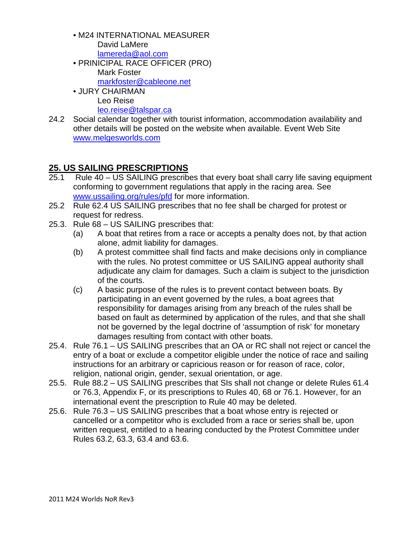- M24 INTERNATIONAL MEASURER David LaMere lamereda@aol.com
- PRINICIPAL RACE OFFICER (PRO) Mark Foster markfoster@cableone.net
- JURY CHAIRMAN Leo Reise leo.reise@talspar.ca
- 24.2 Social calendar together with tourist information, accommodation availability and other details will be posted on the website when available. Event Web Site www.melgesworlds.com

## **25. US SAILING PRESCRIPTIONS**

- 25.1 Rule 40 US SAILING prescribes that every boat shall carry life saving equipment conforming to government regulations that apply in the racing area. See www.ussailing.org/rules/pfd for more information.
- 25.2 Rule 62.4 US SAILING prescribes that no fee shall be charged for protest or request for redress.
- 25.3. Rule 68 US SAILING prescribes that:
	- (a) A boat that retires from a race or accepts a penalty does not, by that action alone, admit liability for damages.
	- (b) A protest committee shall find facts and make decisions only in compliance with the rules. No protest committee or US SAILING appeal authority shall adjudicate any claim for damages. Such a claim is subject to the jurisdiction of the courts.
	- (c) A basic purpose of the rules is to prevent contact between boats. By participating in an event governed by the rules, a boat agrees that responsibility for damages arising from any breach of the rules shall be based on fault as determined by application of the rules, and that she shall not be governed by the legal doctrine of 'assumption of risk' for monetary damages resulting from contact with other boats.
- 25.4. Rule 76.1 US SAILING prescribes that an OA or RC shall not reject or cancel the entry of a boat or exclude a competitor eligible under the notice of race and sailing instructions for an arbitrary or capricious reason or for reason of race, color, religion, national origin, gender, sexual orientation, or age.
- 25.5. Rule 88.2 US SAILING prescribes that SIs shall not change or delete Rules 61.4 or 76.3, Appendix F, or its prescriptions to Rules 40, 68 or 76.1. However, for an international event the prescription to Rule 40 may be deleted.
- 25.6. Rule 76.3 US SAILING prescribes that a boat whose entry is rejected or cancelled or a competitor who is excluded from a race or series shall be, upon written request, entitled to a hearing conducted by the Protest Committee under Rules 63.2, 63.3, 63.4 and 63.6.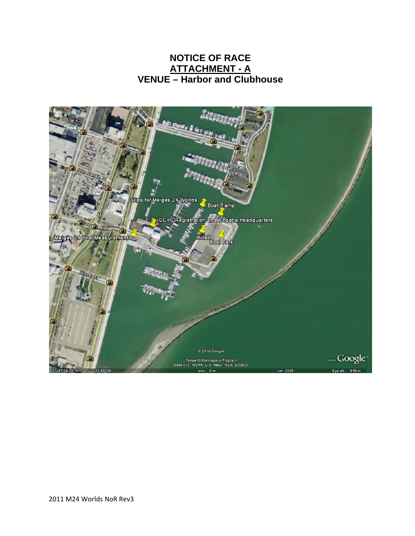## **NOTICE OF RACE ATTACHMENT - A VENUE – Harbor and Clubhouse**

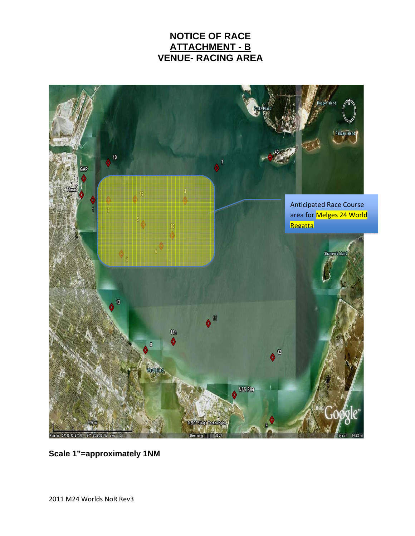## **NOTICE OF RACE ATTACHMENT - B VENUE- RACING AREA**



**Scale 1"=approximately 1NM**